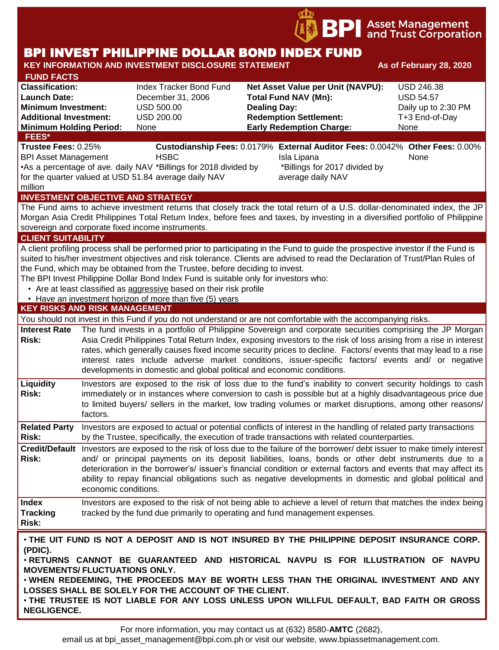

# BPI INVEST PHILIPPINE DOLLAR BOND INDEX FUND

#### **KEY INFORMATION AND INVESTMENT DISCLOSURE STATEMENT And As of February 28, 2020 FUND FACTS Classification:** Index Tracker Bond Fund **Net Asset Value per Unit (NAVPU):** USD 246.38 **Launch Date:** December 31, 2006 **Total Fund NAV (Mn):** USD 54.57 **Minimum Investment:** USD 500.00 **Dealing Day:** Daily up to 2:30 PM **Additional Investment:** USD 200.00 **Redemption Settlement:** T+3 End-of-Day **Minimum Holding Period:** None **Early Redemption Charge:** None **KEY RISKS AND RISK MANAGEMENT**  You should not invest in this Fund if you do not understand or are not comfortable with the accompanying risks. **Interest Rate Risk:** The fund invests in a portfolio of Philippine Sovereign and corporate securities comprising the JP Morgan Asia Credit Philippines Total Return Index, exposing investors to the risk of loss arising from a rise in interest rates, which generally causes fixed income security prices to decline. Factors/ events that may lead to a rise interest rates include adverse market conditions, issuer-specific factors/ events and/ or negative developments in domestic and global political and economic conditions. **Liquidity Risk:** Investors are exposed to the risk of loss due to the fund's inability to convert security holdings to cash immediately or in instances where conversion to cash is possible but at a highly disadvantageous price due to limited buyers/ sellers in the market, low trading volumes or market disruptions, among other reasons/ factors. **Related Party**  Investors are exposed to actual or potential conflicts of interest in the handling of related party transactions **Risk:** by the Trustee, specifically, the execution of trade transactions with related counterparties. **Credit/Default**  Investors are exposed to the risk of loss due to the failure of the borrower/ debt issuer to make timely interest **Risk:** and/ or principal payments on its deposit liabilities, loans, bonds or other debt instruments due to a deterioration in the borrower's/ issuer's financial condition or external factors and events that may affect its ability to repay financial obligations such as negative developments in domestic and global political and economic conditions. **Index Tracking Risk:** Investors are exposed to the risk of not being able to achieve a level of return that matches the index being tracked by the fund due primarily to operating and fund management expenses. **INVESTMENT OBJECTIVE AND STRATEGY** The Fund aims to achieve investment returns that closely track the total return of a U.S. dollar-denominated index, the JP Morgan Asia Credit Philippines Total Return Index, before fees and taxes, by investing in a diversified portfolio of Philippine sovereign and corporate fixed income instruments. **CLIENT SUITABILITY** A client profiling process shall be performed prior to participating in the Fund to guide the prospective investor if the Fund is suited to his/her investment objectives and risk tolerance. Clients are advised to read the Declaration of Trust/Plan Rules of the Fund, which may be obtained from the Trustee, before deciding to invest. The BPI Invest Philippine Dollar Bond Index Fund is suitable only for investors who: • Are at least classified as aggressive based on their risk profile • Have an investment horizon of more than five (5) years • **THE UIT FUND IS NOT A DEPOSIT AND IS NOT INSURED BY THE PHILIPPINE DEPOSIT INSURANCE CORP. (PDIC).** • **RETURNS CANNOT BE GUARANTEED AND HISTORICAL NAVPU IS FOR ILLUSTRATION OF NAVPU MOVEMENTS/ FLUCTUATIONS ONLY.** • **WHEN REDEEMING, THE PROCEEDS MAY BE WORTH LESS THAN THE ORIGINAL INVESTMENT AND ANY LOSSES SHALL BE SOLELY FOR THE ACCOUNT OF THE CLIENT. FEES\* Trustee Fees:** 0.25% **Custodianship Fees:** 0.0179% **External Auditor Fees:** 0.0042% **Other Fees:** 0.00% BPI Asset Management **HSBC Isla Lipana** Isla Lipana None •As a percentage of ave. daily NAV \*Billings for 2018 divided by for the quarter valued at USD 51.84 average daily NAV million \*Billings for 2017 divided by average daily NAV

• **THE TRUSTEE IS NOT LIABLE FOR ANY LOSS UNLESS UPON WILLFUL DEFAULT, BAD FAITH OR GROSS NEGLIGENCE.**

For more information, you may contact us at (632) 8580-**AMTC** (2682),

email us at bpi\_asset\_management@bpi.com.ph or visit our website, www.bpiassetmanagement.com.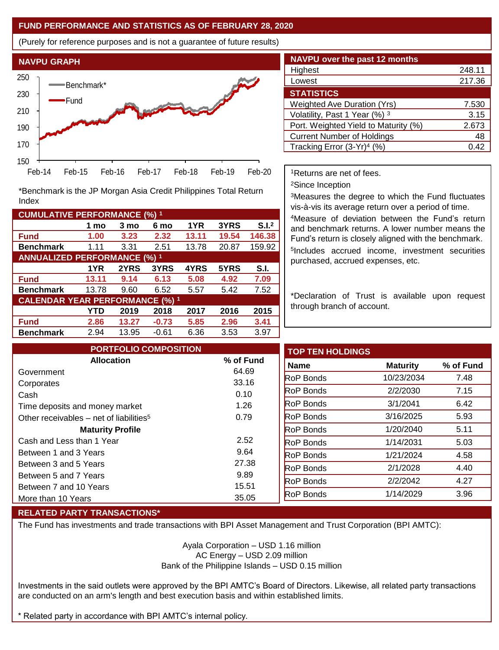#### **FUND PERFORMANCE AND STATISTICS AS OF FEBRUARY 28, 2020**

(Purely for reference purposes and is not a guarantee of future results)



**Fund 1.00 3.23 2.32 13.11 19.54 146.38 Benchmark** 1.11 3.31 2.51 13.78 20.87 159.92

\*Benchmark is the JP Morgan Asia Credit Philippines Total Return

**Fund 13.11 9.14 6.13 5.08 4.92 7.09 Benchmark** 13.78 9.60 6.52 5.57 5.42 7.52

**Fund 2.86 13.27 -0.73 5.85 2.96 3.41 Benchmark** 2.94 13.95 -0.61 6.36 3.53 3.97

**1 mo 3 mo 6 mo 1YR 3YRS S.I.<sup>2</sup>**

**1YR 2YRS 3YRS 4YRS 5YRS S.I.**

**YTD 2019 2018 2017 2016 2015**

| <b>NAVPU over the past 12 months</b>   |        |
|----------------------------------------|--------|
| Highest                                | 248.11 |
| Lowest                                 | 217.36 |
| <b>STATISTICS</b>                      |        |
| Weighted Ave Duration (Yrs)            | 7.530  |
| Volatility, Past 1 Year (%) 3          | 3.15   |
| Port. Weighted Yield to Maturity (%)   | 2.673  |
| <b>Current Number of Holdings</b>      | 48     |
| Tracking Error (3-Yr) <sup>4</sup> (%) | 0.42   |

<sup>1</sup>Returns are net of fees.

<sup>2</sup>Since Inception

<sup>3</sup>Measures the degree to which the Fund fluctuates vis-à-vis its average return over a period of time.

<sup>4</sup>Measure of deviation between the Fund's return and benchmark returns. A lower number means the Fund's return is closely aligned with the benchmark. 5 Includes accrued income, investment securities purchased, accrued expenses, etc.

\*Declaration of Trust is available upon request through branch of account.

| <b>PORTFOLIO COMPOSITION</b>                        |           | <b>TOP TEN HOLDINGS</b> |                 |           |
|-----------------------------------------------------|-----------|-------------------------|-----------------|-----------|
| <b>Allocation</b>                                   | % of Fund | <b>Name</b>             | <b>Maturity</b> | % of Fund |
| Government                                          | 64.69     | <b>RoP Bonds</b>        | 10/23/2034      |           |
| Corporates                                          | 33.16     |                         |                 |           |
| Cash                                                | 0.10      | <b>RoP Bonds</b>        | 2/2/2030        |           |
| Time deposits and money market                      | 1.26      | <b>RoP Bonds</b>        | 3/1/2041        |           |
| Other receivables – net of liabilities <sup>5</sup> | 0.79      | <b>RoP Bonds</b>        | 3/16/2025       |           |
| <b>Maturity Profile</b>                             |           | <b>RoP Bonds</b>        | 1/20/2040       |           |
| Cash and Less than 1 Year                           | 2.52      | <b>RoP Bonds</b>        | 1/14/2031       |           |
| Between 1 and 3 Years                               | 9.64      | <b>RoP Bonds</b>        | 1/21/2024       |           |
| Between 3 and 5 Years                               | 27.38     | <b>RoP Bonds</b>        | 2/1/2028        |           |
| Between 5 and 7 Years                               | 9.89      | <b>RoP Bonds</b>        | 2/2/2042        |           |
| Between 7 and 10 Years                              | 15.51     |                         |                 |           |
| More than 10 Years                                  | 35.05     | <b>RoP Bonds</b>        | 1/14/2029       |           |

## **RELATED PARTY TRANSACTIONS\***

**CUMULATIVE PERFORMANCE (%) <sup>1</sup>**

Index

**ANNUALIZED PERFORMANCE (%) <sup>1</sup>**

**CALENDAR YEAR PERFORMANCE (%) <sup>1</sup>**

The Fund has investments and trade transactions with BPI Asset Management and Trust Corporation (BPI AMTC):

Ayala Corporation – USD 1.16 million AC Energy – USD 2.09 million Bank of the Philippine Islands – USD 0.15 million

Investments in the said outlets were approved by the BPI AMTC's Board of Directors. Likewise, all related party transactions are conducted on an arm's length and best execution basis and within established limits.

\* Related party in accordance with BPI AMTC's internal policy.